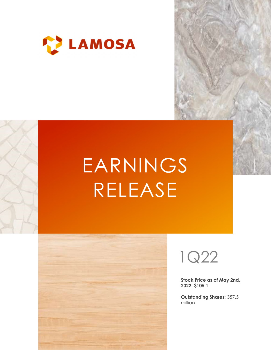

# EARNINGS RELEASE





Stock Price as of May 2nd, 2022: \$105.1

Outstanding Shares: 357.5 million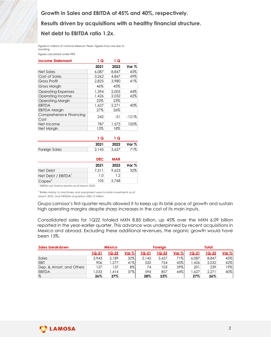## Net debt to EBITDA ratio 1.2x.

| Growth in Sales and EBITDA of 45% and 40%, respectively.                                                                                    |            |            |                  |
|---------------------------------------------------------------------------------------------------------------------------------------------|------------|------------|------------------|
|                                                                                                                                             |            |            |                  |
| Results driven by acquisitions with a healthy financial structure.                                                                          |            |            |                  |
|                                                                                                                                             |            |            |                  |
|                                                                                                                                             |            |            |                  |
| Net debt to EBITDA ratio 1.2x.                                                                                                              |            |            |                  |
|                                                                                                                                             |            |            |                  |
| Figures in millions of nominal Mexican Pesos. Figures may vary due to                                                                       |            |            |                  |
| rounding.                                                                                                                                   |            |            |                  |
| Figures calculated under IFRS.                                                                                                              |            |            |                  |
|                                                                                                                                             |            |            |                  |
| <b>Income Statement</b>                                                                                                                     | 1 Q        | 1Q         |                  |
|                                                                                                                                             | 2021       | 2022       | Var <sub>%</sub> |
| Net Sales                                                                                                                                   | 6,087      | 8.847      | 45%              |
| Cost of Sales                                                                                                                               | 3,262      | 4,867      | 49%              |
| <b>Gross Profit</b>                                                                                                                         | 2,825      | 3,980      | 41%              |
|                                                                                                                                             |            |            |                  |
| <b>Gross Margin</b>                                                                                                                         | 46%        | 45%        |                  |
| <b>Operating Expenses</b>                                                                                                                   | 1,394      | 2,005      | 44%              |
| Operating Income                                                                                                                            | 1,426      | 2,032      | 42%              |
| <b>Operating Margin</b>                                                                                                                     | 23%        | 23%        |                  |
| <b>EBITDA</b>                                                                                                                               | 1,627      | 2,271      | 40%              |
| <b>EBITDA Margin</b>                                                                                                                        | 27%        | 26%        |                  |
| Comprehensive Financing                                                                                                                     |            |            |                  |
| Cost                                                                                                                                        | 242        | -51        | $-121%$          |
| Net Income                                                                                                                                  | 787        | 1,573      | 100%             |
| Net Margin                                                                                                                                  | 13%        | 18%        |                  |
|                                                                                                                                             |            |            |                  |
|                                                                                                                                             |            |            |                  |
|                                                                                                                                             | 1Q         | 1Q         |                  |
|                                                                                                                                             | 2021       | 2022       | Var %            |
|                                                                                                                                             | 2,145      | 3,657      | 71%              |
| Foreign Sales                                                                                                                               |            |            |                  |
|                                                                                                                                             | <b>DEC</b> | <b>MAR</b> |                  |
|                                                                                                                                             |            |            |                  |
|                                                                                                                                             |            |            | Var %            |
|                                                                                                                                             | 2021       | 2022       |                  |
| Net Debt                                                                                                                                    | 7,311      | 9,623      | 32%              |
| Net Debt / EBITDA <sup>1</sup>                                                                                                              | 1.0        | 1.2        |                  |
|                                                                                                                                             |            |            |                  |
| $Capex^2$                                                                                                                                   | 105        | 2,768      |                  |
| <sup>1</sup> EBITDA Last Twelve Months as of March 2022.                                                                                    |            |            |                  |
| <sup>2</sup> Refers mainly to machinery and equipment year-to-date investments as of<br>March 2022, and FANOSA acquisition US\$115 million. |            |            |                  |

|                      | 1 ດ  | - 1 Q         |     |
|----------------------|------|---------------|-----|
|                      | 2021 | 2022 Var %    |     |
| <b>Foreign Sales</b> |      | $2,145$ 3,657 | 71% |

|                      | <b>DEC</b> | <b>MAR</b> |       |
|----------------------|------------|------------|-------|
|                      | 2021       | 2022       | Var % |
| Net Debt             | 7,311      | 9,623      | 32%   |
| Net Debt / $EBITDA1$ | I .O       | .2         |       |
| $Capex^2$            | 105        | 2,768      |       |

|                                                                                                 | 1 <sub>Q</sub> | 1Q            |           |           |            |              |              |              |            |
|-------------------------------------------------------------------------------------------------|----------------|---------------|-----------|-----------|------------|--------------|--------------|--------------|------------|
|                                                                                                 | 2021           | 2022          | Var %     |           |            |              |              |              |            |
| <b>Foreign Sales</b>                                                                            | 2,145          | 3,657         | 71%       |           |            |              |              |              |            |
|                                                                                                 |                |               |           |           |            |              |              |              |            |
|                                                                                                 | <b>DEC</b>     | <b>MAR</b>    |           |           |            |              |              |              |            |
|                                                                                                 | 2021           | 2022          | Var %     |           |            |              |              |              |            |
| Net Debt                                                                                        | 7,311          | 9.623         | 32%       |           |            |              |              |              |            |
| $Net$ Debt / $EBITDA1$                                                                          | 1.0            | 1.2           |           |           |            |              |              |              |            |
| $Capex^2$                                                                                       | 105            | 2,768         |           |           |            |              |              |              |            |
| <sup>1</sup> EBITDA Last Twelve Months as of March 2022.                                        |                |               |           |           |            |              |              |              |            |
| <sup>2</sup> Refers mainly to machinery and equipment year-to-date investments as of            |                |               |           |           |            |              |              |              |            |
| March 2022, and FANOSA acquisition US\$115 million.                                             |                |               |           |           |            |              |              |              |            |
|                                                                                                 |                |               |           |           |            |              |              |              |            |
| Grupo Lamosa's first-quarter results allowed it to keep up its brisk pace of growth and sustain |                |               |           |           |            |              |              |              |            |
| high operating margins despite sharp increases in the cost of its main inputs.                  |                |               |           |           |            |              |              |              |            |
|                                                                                                 |                |               |           |           |            |              |              |              |            |
| Consolidated sales for 1Q22 totaled MXN 8.85 billion, up 45% over the MXN 6.09 billion          |                |               |           |           |            |              |              |              |            |
| reported in the year-earlier quarter. This advance was underpinned by recent acquisitions in    |                |               |           |           |            |              |              |              |            |
| Mexico and abroad. Excluding these additional revenues, the organic growth would have           |                |               |           |           |            |              |              |              |            |
| been 13%.                                                                                       |                |               |           |           |            |              |              |              |            |
|                                                                                                 |                |               |           |           |            |              |              |              |            |
| <b>Sales breakdown</b>                                                                          |                | <b>México</b> |           |           | Foreign    |              |              | <b>Total</b> |            |
|                                                                                                 | $1Q-21$        | 1Q-22         | Var %     | $1Q-21$   | $1Q-22$    | <u>Var %</u> | $1Q-21$      | $1Q - 22$    | Var %      |
| Sales                                                                                           | 3,943          | 5,189         | 32%       | 2,145     | 3,657      | 71%          | 6,087        | 8,847        | 45%        |
| EBIT                                                                                            | 906            | 1,277         | 41%       | 520       | 754        | 45%          | 1,426        | 2,032        |            |
|                                                                                                 |                |               |           |           |            |              |              |              |            |
|                                                                                                 |                |               |           |           |            |              |              |              | 42%        |
| Dep. & Amort. and Others<br><b>EBITDA</b>                                                       | 127<br>1,033   | 137<br>1,414  | 8%<br>37% | 74<br>594 | 103<br>857 | 39%<br>44%   | 201<br>1,627 | 239<br>2,271 | 19%<br>40% |

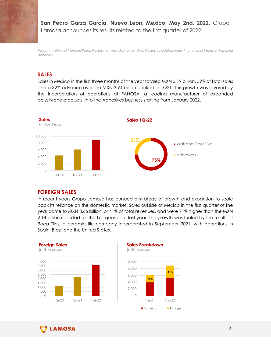San Pedro Garza García, Nuevo Leon, Mexico, May 2nd, 2022. Grupo Lamosa announces its results related to the first quarter of 2022.

Figures in millions of Mexican Pesos. Figures may vary due to rounding. Figures calculated under International Financial Reporting Standards.

#### SALES

Sales in Mexico in the first three months of the year totaled MXN 5.19 billion, 59% of total sales and a 32% advance over the MXN 3.94 billion booked in 1Q21. This growth was favored by the incorporation of operations at FANOSA, a leading manufacturer of expanded polystyrene products, into the Adhesives business starting from January 2022.



#### FOREIGN SALES

In recent years Grupo Lamosa has pursued a strategy of growth and expansion to scale back its reliance on the domestic market. Sales outside of Mexico in the first quarter of the year came to MXN 3.66 billion, or 41% of total revenues, and were 71% higher than the MXN 2.14 billion reported for the first quarter of last year. The growth was fueled by the results of Roca Tiles, a ceramic tile company incorporated in September 2021, with operations in Spain, Brazil and the United States. the division of scale<br>
this de of Mexico in the first quarter of the<br>
nues, and were 71% higher than the MXN<br>
r. The growth was fueled by the results of<br>
d in September 2021, with operations in<br>
and the set of the set of **SN SALES**<br>
In years Grupo Lamosa has pursued a strategy of growth and expansion to scale<br>
reliance on the domestic market. Sales outside of Mexico in the first quarter of the<br>
time to MXN 3.66 billion, or 41% of total re







Domestic Foreign

 $\overline{0}$  and  $\overline{0}$  and  $\overline{0}$  and  $\overline{0}$  and  $\overline{0}$  and  $\overline{0}$  and  $\overline{0}$  and  $\overline{0}$  and  $\overline{0}$  and  $\overline{0}$  and  $\overline{0}$  and  $\overline{0}$  and  $\overline{0}$  and  $\overline{0}$  and  $\overline{0}$  and  $\overline{0}$  and  $\overline{0}$  and

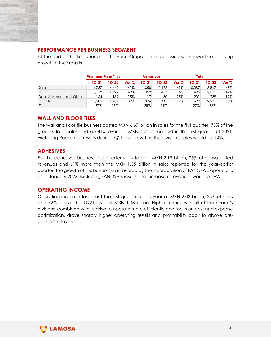

# PERFORMANCE PER BUSINESS SEGMENT

| PERFORMANCE PER BUSINESS SEGMENT                                                                                      |                             |                       |              |                  |                |              |                       |                    |            |
|-----------------------------------------------------------------------------------------------------------------------|-----------------------------|-----------------------|--------------|------------------|----------------|--------------|-----------------------|--------------------|------------|
|                                                                                                                       |                             |                       |              |                  |                |              |                       |                    |            |
|                                                                                                                       |                             |                       |              |                  |                |              |                       |                    |            |
|                                                                                                                       |                             |                       |              |                  |                |              |                       |                    |            |
|                                                                                                                       |                             |                       |              |                  |                |              |                       |                    |            |
|                                                                                                                       |                             |                       |              |                  |                |              |                       |                    |            |
| At the end of the first quarter of the year, Grupo Lamosa's businesses showed outstanding<br>growth in their results. | <b>Wall and Floor Tiles</b> |                       |              | <b>Adhesives</b> |                |              | <b>Total</b>          |                    |            |
|                                                                                                                       |                             |                       |              |                  |                |              |                       |                    |            |
|                                                                                                                       | $1Q-21$                     | <u>1Q-22</u><br>6,669 | Var %<br>41% | $1Q-21$          | 1Q-22<br>2,178 | Var %<br>61% | <u>1Q-21</u><br>6,087 | $1Q - 22$<br>8,847 | Var %      |
| Sales<br>EBIT                                                                                                         | 4,737<br>1,118              | 1,592                 | 42%          | 1,350<br>359     | 417            | 16%          | 1,426                 | 2,032              | 45%<br>42% |
| Dep. & Amort. and Others                                                                                              | 164                         | 189                   | 15%          | 17               | 30             | 75%          | 201                   | 239                | 19%        |
| <b>EBITDA</b><br>$\%$                                                                                                 | 1,282<br>27%                | 1,782<br>27%          | 39%          | 376<br>28%       | 447<br>21%     | 19%          | 1,627<br>27%          | 2,271<br>26%       | 40%        |

# WALL AND FLOOR TILES

The wall and floor tile business posted MXN 6.67 billion in sales for the first quarter, 75% of the group's total sales and up 41% over the MXN 4.74 billion sold in the first quarter of 2021. Excluding Roca Tiles' results during 1Q21 the growth in this division's sales would be 14%.

## ADHESIVES

For the adhesives business, first-quarter sales totaled MXN 2.18 billion, 25% of consolidated revenues and 61% more than the MXN 1.35 billion in sales reported for the year-earlier quarter. The growth of this business was favored by the incorporation of FANOSA's operations as of January 2022. Excluding FANOSA's results, the increase in revenues would be 9%.

## OPERATING INCOME

Operating income closed out the first quarter of the year at MXN 2.03 billion, 23% of sales and 42% above the 1Q21 level of MXN 1.43 billion. Higher revenues in all of the Group's divisions, combined with its drive to operate more efficiently and focus on cost and expense optimization, drove sharply higher operating results and profitability back to above prepandemic levels.

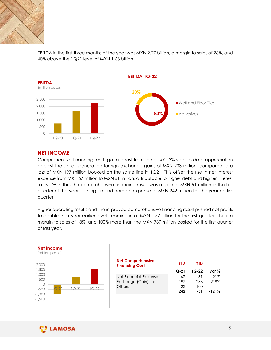

EBITDA in the first three months of the year was MXN 2.27 billion, a margin to sales of 26%, and 40% above the 1Q21 level of MXN 1.63 billion.



# NET INCOME

Comprehensive financing result got a boost from the peso's 3% year-to-date appreciation against the dollar, generating foreign-exchange gains of MXN 233 million, compared to a loss of MXN 197 million booked on the same line in 1Q21. This offset the rise in net interest expense from MXN 67 million to MXN 81 million, attributable to higher debt and higher interest rates. With this, the comprehensive financing result was a gain of MXN 51 million in the first quarter of the year, turning around from an expense of MXN 242 million for the year-earlier quarter. a boost from the peso's 3% year-to-date appreciation<br>n-exchange gains of MXN 233 million, compared to a<br>leading million, atthouted to higher debt and higher interest<br>in million, atthouted to higher debt and higher interes S year-to-date appreciation<br>
233 million, compared to a<br>
offset the rise in net interest<br>
ther debt and higher interest<br>
of MXN 51 million in the first<br>
12 million for the year-earlier<br>
2 million for the year-earlier<br>
for MAN 177 filminon booked or the same line music in the same line in the same of the particle is the non-<br>the from MXN 37 million to MXN 81 million, affitioutable to higher debt and higher interests<br>With this, the comprehens **NET INCOME**<br>
1G-21 1G-22 1<br>
1G-22 1G-22 1G-22 1G-22 1G-22 1G-22 1G-22 1G-22 1G-22 1G-22 1G-22 1G-22 1G-22 1G-22 1G-22 1G-22 1G-23 16 MXN 2G3 millions of MXN 2G3 millions of MXN 2G3 millions of MXN 2G3 millions of MXN 1G3 10-20 10-21 10-22<br> **NET INCOME**<br>
Comprehensive financing result got a boost from the peso's 3% year-to-against the dollar, generating foreign-exchange gians of MXN 233 million<br>
loss of MXN 197 million booked on the same l

Higher operating results and the improved comprehensive financing result pushed net profits to double their year-earlier levels, coming in at MXN 1.57 billion for the first quarter. This is a margin to sales of 18%, and 100% more than the MXN 787 million posted for the first quarter of last year.



| <b>Net Comprehensive</b><br><b>Financing Cost</b> | YTD   | YTD    |          |
|---------------------------------------------------|-------|--------|----------|
|                                                   | 1Q-21 | 1Q-22  | Var %    |
| Net Financial Expense                             | 67    | 81     | 21%      |
| Exchange (Gain) Loss                              | 197   | $-233$ | $-218\%$ |
| <b>Others</b>                                     | $-22$ | 100    |          |
|                                                   | 242   | $-51$  | $-121%$  |